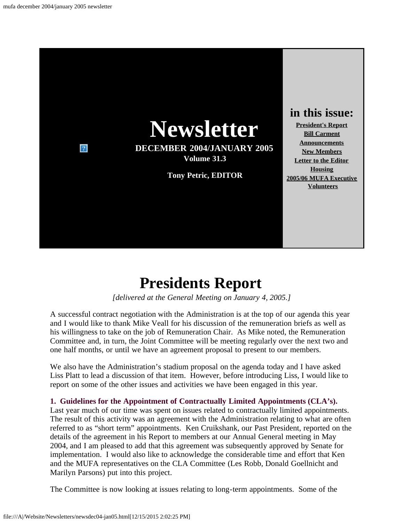

# **Presidents Report**

*[delivered at the General Meeting on January 4, 2005.]*

<span id="page-0-0"></span>A successful contract negotiation with the Administration is at the top of our agenda this year and I would like to thank Mike Veall for his discussion of the remuneration briefs as well as his willingness to take on the job of Remuneration Chair. As Mike noted, the Remuneration Committee and, in turn, the Joint Committee will be meeting regularly over the next two and one half months, or until we have an agreement proposal to present to our members.

We also have the Administration's stadium proposal on the agenda today and I have asked Liss Platt to lead a discussion of that item. However, before introducing Liss, I would like to report on some of the other issues and activities we have been engaged in this year.

**1. Guidelines for the Appointment of Contractually Limited Appointments (CLA's).**

Last year much of our time was spent on issues related to contractually limited appointments. The result of this activity was an agreement with the Administration relating to what are often referred to as "short term" appointments. Ken Cruikshank, our Past President, reported on the details of the agreement in his Report to members at our Annual General meeting in May 2004, and I am pleased to add that this agreement was subsequently approved by Senate for implementation. I would also like to acknowledge the considerable time and effort that Ken and the MUFA representatives on the CLA Committee (Les Robb, Donald Goellnicht and Marilyn Parsons) put into this project.

The Committee is now looking at issues relating to long-term appointments. Some of the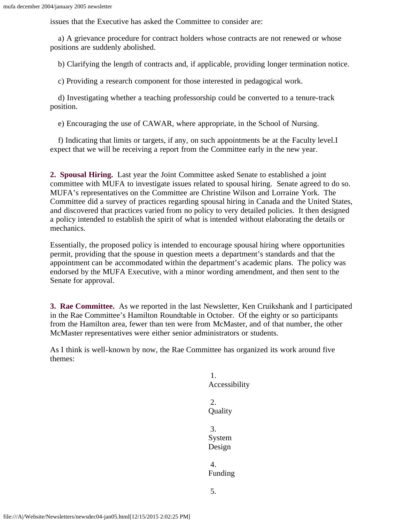issues that the Executive has asked the Committee to consider are:

 a) A grievance procedure for contract holders whose contracts are not renewed or whose positions are suddenly abolished.

b) Clarifying the length of contracts and, if applicable, providing longer termination notice.

c) Providing a research component for those interested in pedagogical work.

 d) Investigating whether a teaching professorship could be converted to a tenure-track position.

e) Encouraging the use of CAWAR, where appropriate, in the School of Nursing.

 f) Indicating that limits or targets, if any, on such appointments be at the Faculty level.I expect that we will be receiving a report from the Committee early in the new year.

**2. Spousal Hiring.** Last year the Joint Committee asked Senate to established a joint committee with MUFA to investigate issues related to spousal hiring. Senate agreed to do so. MUFA's representatives on the Committee are Christine Wilson and Lorraine York. The Committee did a survey of practices regarding spousal hiring in Canada and the United States, and discovered that practices varied from no policy to very detailed policies. It then designed a policy intended to establish the spirit of what is intended without elaborating the details or mechanics.

Essentially, the proposed policy is intended to encourage spousal hiring where opportunities permit, providing that the spouse in question meets a department's standards and that the appointment can be accommodated within the department's academic plans. The policy was endorsed by the MUFA Executive, with a minor wording amendment, and then sent to the Senate for approval.

**3. Rae Committee.** As we reported in the last Newsletter, Ken Cruikshank and I participated in the Rae Committee's Hamilton Roundtable in October. Of the eighty or so participants from the Hamilton area, fewer than ten were from McMaster, and of that number, the other McMaster representatives were either senior administrators or students.

As I think is well-known by now, the Rae Committee has organized its work around five themes:

# 1. Accessibility

- 2. **Quality** 3. System Design
- 4. Funding

5.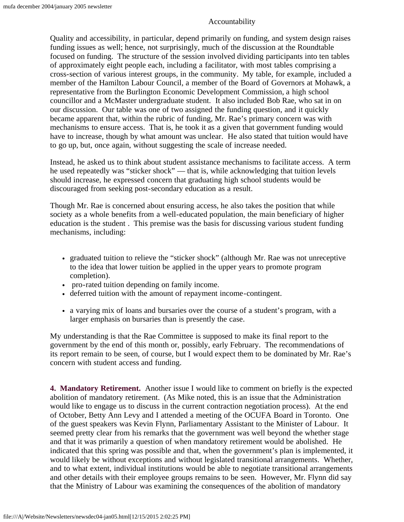## Accountability

Quality and accessibility, in particular, depend primarily on funding, and system design raises funding issues as well; hence, not surprisingly, much of the discussion at the Roundtable focused on funding. The structure of the session involved dividing participants into ten tables of approximately eight people each, including a facilitator, with most tables comprising a cross-section of various interest groups, in the community. My table, for example, included a member of the Hamilton Labour Council, a member of the Board of Governors at Mohawk, a representative from the Burlington Economic Development Commission, a high school councillor and a McMaster undergraduate student. It also included Bob Rae, who sat in on our discussion. Our table was one of two assigned the funding question, and it quickly became apparent that, within the rubric of funding, Mr. Rae's primary concern was with mechanisms to ensure access. That is, he took it as a given that government funding would have to increase, though by what amount was unclear. He also stated that tuition would have to go up, but, once again, without suggesting the scale of increase needed.

Instead, he asked us to think about student assistance mechanisms to facilitate access. A term he used repeatedly was "sticker shock" — that is, while acknowledging that tuition levels should increase, he expressed concern that graduating high school students would be discouraged from seeking post-secondary education as a result.

Though Mr. Rae is concerned about ensuring access, he also takes the position that while society as a whole benefits from a well-educated population, the main beneficiary of higher education is the student . This premise was the basis for discussing various student funding mechanisms, including:

- graduated tuition to relieve the "sticker shock" (although Mr. Rae was not unreceptive to the idea that lower tuition be applied in the upper years to promote program completion).
- pro-rated tuition depending on family income.
- deferred tuition with the amount of repayment income-contingent.
- a varying mix of loans and bursaries over the course of a student's program, with a larger emphasis on bursaries than is presently the case.

My understanding is that the Rae Committee is supposed to make its final report to the government by the end of this month or, possibly, early February. The recommendations of its report remain to be seen, of course, but I would expect them to be dominated by Mr. Rae's concern with student access and funding.

**4. Mandatory Retirement.** Another issue I would like to comment on briefly is the expected abolition of mandatory retirement. (As Mike noted, this is an issue that the Administration would like to engage us to discuss in the current contraction negotiation process). At the end of October, Betty Ann Levy and I attended a meeting of the OCUFA Board in Toronto. One of the guest speakers was Kevin Flynn, Parliamentary Assistant to the Minister of Labour. It seemed pretty clear from his remarks that the government was well beyond the whether stage and that it was primarily a question of when mandatory retirement would be abolished. He indicated that this spring was possible and that, when the government's plan is implemented, it would likely be without exceptions and without legislated transitional arrangements. Whether, and to what extent, individual institutions would be able to negotiate transitional arrangements and other details with their employee groups remains to be seen. However, Mr. Flynn did say that the Ministry of Labour was examining the consequences of the abolition of mandatory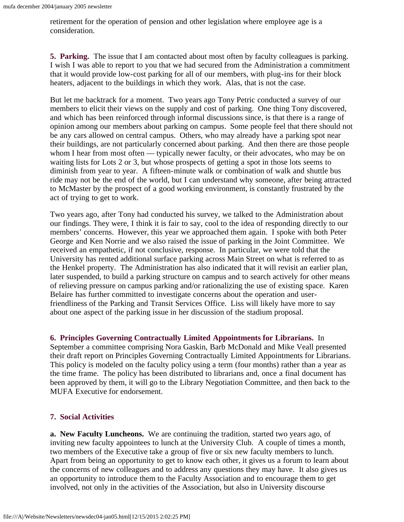retirement for the operation of pension and other legislation where employee age is a consideration.

**5. Parking.** The issue that I am contacted about most often by faculty colleagues is parking. I wish I was able to report to you that we had secured from the Administration a commitment that it would provide low-cost parking for all of our members, with plug-ins for their block heaters, adjacent to the buildings in which they work. Alas, that is not the case.

But let me backtrack for a moment. Two years ago Tony Petric conducted a survey of our members to elicit their views on the supply and cost of parking. One thing Tony discovered, and which has been reinforced through informal discussions since, is that there is a range of opinion among our members about parking on campus. Some people feel that there should not be any cars allowed on central campus. Others, who may already have a parking spot near their buildings, are not particularly concerned about parking. And then there are those people whom I hear from most often — typically newer faculty, or their advocates, who may be on waiting lists for Lots 2 or 3, but whose prospects of getting a spot in those lots seems to diminish from year to year. A fifteen-minute walk or combination of walk and shuttle bus ride may not be the end of the world, but I can understand why someone, after being attracted to McMaster by the prospect of a good working environment, is constantly frustrated by the act of trying to get to work.

Two years ago, after Tony had conducted his survey, we talked to the Administration about our findings. They were, I think it is fair to say, cool to the idea of responding directly to our members' concerns. However, this year we approached them again. I spoke with both Peter George and Ken Norrie and we also raised the issue of parking in the Joint Committee. We received an empathetic, if not conclusive, response. In particular, we were told that the University has rented additional surface parking across Main Street on what is referred to as the Henkel property. The Administration has also indicated that it will revisit an earlier plan, later suspended, to build a parking structure on campus and to search actively for other means of relieving pressure on campus parking and/or rationalizing the use of existing space. Karen Belaire has further committed to investigate concerns about the operation and userfriendliness of the Parking and Transit Services Office. Liss will likely have more to say about one aspect of the parking issue in her discussion of the stadium proposal.

**6. Principles Governing Contractually Limited Appointments for Librarians.** In September a committee comprising Nora Gaskin, Barb McDonald and Mike Veall presented their draft report on Principles Governing Contractually Limited Appointments for Librarians. This policy is modeled on the faculty policy using a term (four months) rather than a year as the time frame. The policy has been distributed to librarians and, once a final document has been approved by them, it will go to the Library Negotiation Committee, and then back to the MUFA Executive for endorsement.

# **7. Social Activities**

**a. New Faculty Luncheons.** We are continuing the tradition, started two years ago, of inviting new faculty appointees to lunch at the University Club. A couple of times a month, two members of the Executive take a group of five or six new faculty members to lunch. Apart from being an opportunity to get to know each other, it gives us a forum to learn about the concerns of new colleagues and to address any questions they may have. It also gives us an opportunity to introduce them to the Faculty Association and to encourage them to get involved, not only in the activities of the Association, but also in University discourse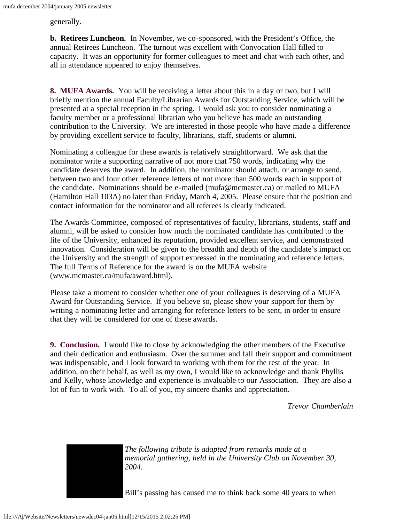generally.

**b. Retirees Luncheon.** In November, we co-sponsored, with the President's Office, the annual Retirees Luncheon. The turnout was excellent with Convocation Hall filled to capacity. It was an opportunity for former colleagues to meet and chat with each other, and all in attendance appeared to enjoy themselves.

**8. MUFA Awards.** You will be receiving a letter about this in a day or two, but I will briefly mention the annual Faculty/Librarian Awards for Outstanding Service, which will be presented at a special reception in the spring. I would ask you to consider nominating a faculty member or a professional librarian who you believe has made an outstanding contribution to the University. We are interested in those people who have made a difference by providing excellent service to faculty, librarians, staff, students or alumni.

Nominating a colleague for these awards is relatively straightforward. We ask that the nominator write a supporting narrative of not more that 750 words, indicating why the candidate deserves the award. In addition, the nominator should attach, or arrange to send, between two and four other reference letters of not more than 500 words each in support of the candidate. Nominations should be e-mailed (mufa@mcmaster.ca) or mailed to MUFA (Hamilton Hall 103A) no later than Friday, March 4, 2005. Please ensure that the position and contact information for the nominator and all referees is clearly indicated.

The Awards Committee, composed of representatives of faculty, librarians, students, staff and alumni, will be asked to consider how much the nominated candidate has contributed to the life of the University, enhanced its reputation, provided excellent service, and demonstrated innovation. Consideration will be given to the breadth and depth of the candidate's impact on the University and the strength of support expressed in the nominating and reference letters. The full Terms of Reference for the award is on the MUFA website (www.mcmaster.ca/mufa/award.html).

Please take a moment to consider whether one of your colleagues is deserving of a MUFA Award for Outstanding Service. If you believe so, please show your support for them by writing a nominating letter and arranging for reference letters to be sent, in order to ensure that they will be considered for one of these awards.

**9. Conclusion.** I would like to close by acknowledging the other members of the Executive and their dedication and enthusiasm. Over the summer and fall their support and commitment was indispensable, and I look forward to working with them for the rest of the year. In addition, on their behalf, as well as my own, I would like to acknowledge and thank Phyllis and Kelly, whose knowledge and experience is invaluable to our Association. They are also a lot of fun to work with. To all of you, my sincere thanks and appreciation.

*Trevor Chamberlain*

<span id="page-4-0"></span>

*The following tribute is adapted from remarks made at a memorial gathering, held in the University Club on November 30, 2004.*

Bill's passing has caused me to think back some 40 years to when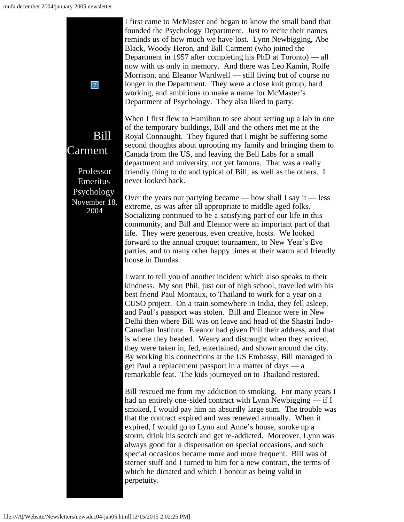

I first came to McMaster and began to know the small band that founded the Psychology Department. Just to recite their names reminds us of how much we have lost. Lynn Newbigging, Abe Black, Woody Heron, and Bill Carment (who joined the Department in 1957 after completing his PhD at Toronto) — all now with us only in memory. And there was Leo Kamin, Rolfe Morrison, and Eleanor Wardwell — still living but of course no longer in the Department. They were a close knit group, hard working, and ambitious to make a name for McMaster's Department of Psychology. They also liked to party.

When I first flew to Hamilton to see about setting up a lab in one of the temporary buildings, Bill and the others met me at the Royal Connaught. They figured that I might be suffering some second thoughts about uprooting my family and bringing them to Canada from the US, and leaving the Bell Labs for a small department and university, not yet famous. That was a really friendly thing to do and typical of Bill, as well as the others. I never looked back.

Over the years our partying became — how shall I say it — less extreme, as was after all appropriate to middle aged folks. Socializing continued to be a satisfying part of our life in this community, and Bill and Eleanor were an important part of that life. They were generous, even creative, hosts. We looked forward to the annual croquet tournament, to New Year's Eve parties, and to many other happy times at their warm and friendly house in Dundas.

I want to tell you of another incident which also speaks to their kindness. My son Phil, just out of high school, travelled with his best friend Paul Montaux, to Thailand to work for a year on a CUSO project. On a train somewhere in India, they fell asleep, and Paul's passport was stolen. Bill and Eleanor were in New Delhi then where Bill was on leave and head of the Shastri Indo-Canadian Institute. Eleanor had given Phil their address, and that is where they headed. Weary and distraught when they arrived, they were taken in, fed, entertained, and shown around the city. By working his connections at the US Embassy, Bill managed to get Paul a replacement passport in a matter of days — a remarkable feat. The kids journeyed on to Thailand restored.

Bill rescued me from my addiction to smoking. For many years I had an entirely one-sided contract with Lynn Newbigging — if I smoked, I would pay him an absurdly large sum. The trouble was that the contract expired and was renewed annually. When it expired, I would go to Lynn and Anne's house, smoke up a storm, drink his scotch and get re-addicted. Moreover, Lynn was always good for a dispensation on special occasions, and such special occasions became more and more frequent. Bill was of sterner stuff and I turned to him for a new contract, the terms of which he dictated and which I honour as being valid in perpetuity.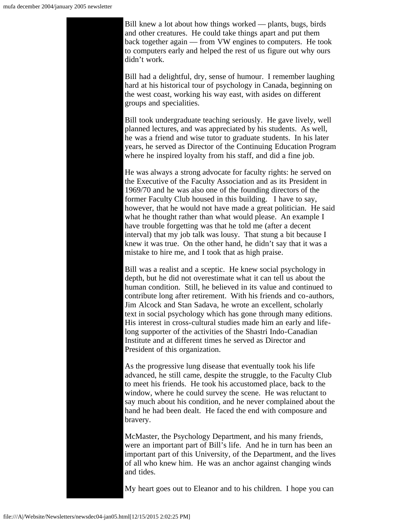Bill knew a lot about how things worked — plants, bugs, birds and other creatures. He could take things apart and put them back together again — from VW engines to computers. He took to computers early and helped the rest of us figure out why ours didn't work.

Bill had a delightful, dry, sense of humour. I remember laughing hard at his historical tour of psychology in Canada, beginning on the west coast, working his way east, with asides on different groups and specialities.

Bill took undergraduate teaching seriously. He gave lively, well planned lectures, and was appreciated by his students. As well, he was a friend and wise tutor to graduate students. In his later years, he served as Director of the Continuing Education Program where he inspired loyalty from his staff, and did a fine job.

He was always a strong advocate for faculty rights: he served on the Executive of the Faculty Association and as its President in 1969/70 and he was also one of the founding directors of the former Faculty Club housed in this building. I have to say, however, that he would not have made a great politician. He said what he thought rather than what would please. An example I have trouble forgetting was that he told me (after a decent interval) that my job talk was lousy. That stung a bit because I knew it was true. On the other hand, he didn't say that it was a mistake to hire me, and I took that as high praise.

Bill was a realist and a sceptic. He knew social psychology in depth, but he did not overestimate what it can tell us about the human condition. Still, he believed in its value and continued to contribute long after retirement. With his friends and co-authors, Jim Alcock and Stan Sadava, he wrote an excellent, scholarly text in social psychology which has gone through many editions. His interest in cross-cultural studies made him an early and lifelong supporter of the activities of the Shastri Indo-Canadian Institute and at different times he served as Director and President of this organization.

As the progressive lung disease that eventually took his life advanced, he still came, despite the struggle, to the Faculty Club to meet his friends. He took his accustomed place, back to the window, where he could survey the scene. He was reluctant to say much about his condition, and he never complained about the hand he had been dealt. He faced the end with composure and bravery.

McMaster, the Psychology Department, and his many friends, were an important part of Bill's life. And he in turn has been an important part of this University, of the Department, and the lives of all who knew him. He was an anchor against changing winds and tides.

My heart goes out to Eleanor and to his children. I hope you can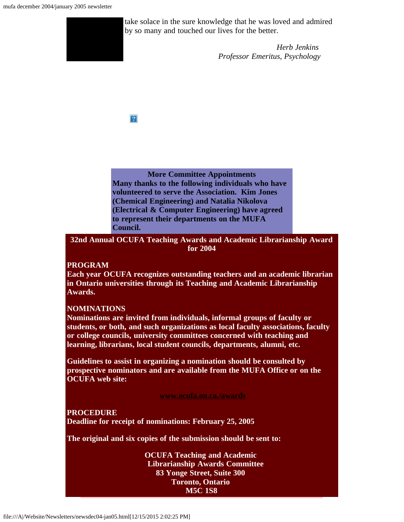

take solace in the sure knowledge that he was loved and admired by so many and touched our lives for the better.

> *Herb Jenkins Professor Emeritus, Psychology*

 $|2|$ 

# **More Committee Appointments**

**Many thanks to the following individuals who have volunteered to serve the Association. Kim Jones (Chemical Engineering) and Natalia Nikolova (Electrical & Computer Engineering) have agreed to represent their departments on the MUFA Council.**

## <span id="page-7-0"></span>**32nd Annual OCUFA Teaching Awards and Academic Librarianship Award for 2004**

## **PROGRAM**

**Each year OCUFA recognizes outstanding teachers and an academic librarian in Ontario universities through its Teaching and Academic Librarianship Awards.**

#### **NOMINATIONS**

**Nominations are invited from individuals, informal groups of faculty or students, or both, and such organizations as local faculty associations, faculty or college councils, university committees concerned with teaching and learning, librarians, local student councils, departments, alumni, etc.**

**Guidelines to assist in organizing a nomination should be consulted by prospective nominators and are available from the MUFA Office or on the OCUFA web site:**

#### **[www.ocufa.on.ca./awards](http://www.ocufa.on.ca./awards)**

**PROCEDURE Deadline for receipt of nominations: February 25, 2005**

**The original and six copies of the submission should be sent to:**

**OCUFA Teaching and Academic Librarianship Awards Committee 83 Yonge Street, Suite 300 Toronto, Ontario M5C 1S8**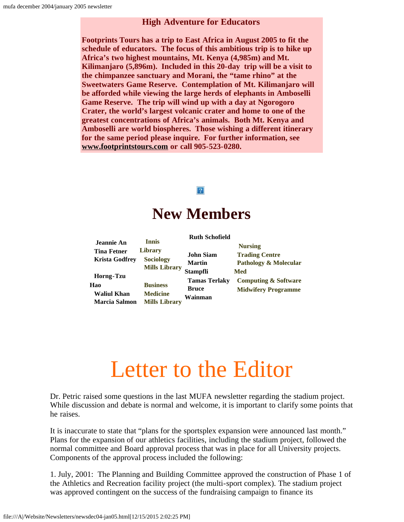### **High Adventure for Educators**

**Footprints Tours has a trip to East Africa in August 2005 to fit the schedule of educators. The focus of this ambitious trip is to hike up Africa's two highest mountains, Mt. Kenya (4,985m) and Mt. Kilimanjaro (5,896m). Included in this 20-day trip will be a visit to the chimpanzee sanctuary and Morani, the "tame rhino" at the Sweetwaters Game Reserve. Contemplation of Mt. Kilimanjaro will be afforded while viewing the large herds of elephants in Amboselli Game Reserve. The trip will wind up with a day at Ngorogoro Crater, the world's largest volcanic crater and home to one of the greatest concentrations of Africa's animals. Both Mt. Kenya and Amboselli are world biospheres. Those wishing a different itinerary for the same period please inquire. For further information, see [www.footprintstours.com](http://www.footprintstours.com/) or call 905-523-0280.**

## $|2|$

# **New Members**

| <b>Ruth Schofield</b> |  |
|-----------------------|--|
|                       |  |

<span id="page-8-0"></span>

| <b>Jeannie An</b>     | <b>Innis</b>         |                      |                                  |
|-----------------------|----------------------|----------------------|----------------------------------|
| <b>Tina Fetner</b>    | <b>Library</b>       |                      | <b>Nursing</b>                   |
| <b>Krista Godfrey</b> | <b>Sociology</b>     | <b>John Siam</b>     | <b>Trading Centre</b>            |
|                       |                      | <b>Martin</b>        | <b>Pathology &amp; Molecular</b> |
|                       | <b>Mills Library</b> | <b>Stampfli</b>      | Med                              |
| <b>Horng-Tzu</b>      |                      | <b>Tamas Terlaky</b> | <b>Computing &amp; Software</b>  |
| Hao                   | <b>Business</b>      |                      |                                  |
| <b>Waliul Khan</b>    | <b>Medicine</b>      | <b>Bruce</b>         | <b>Midwifery Programme</b>       |
| <b>Marcia Salmon</b>  | <b>Mills Library</b> | Wainman              |                                  |

# Letter to the Editor

<span id="page-8-1"></span>Dr. Petric raised some questions in the last MUFA newsletter regarding the stadium project. While discussion and debate is normal and welcome, it is important to clarify some points that he raises.

It is inaccurate to state that "plans for the sportsplex expansion were announced last month." Plans for the expansion of our athletics facilities, including the stadium project, followed the normal committee and Board approval process that was in place for all University projects. Components of the approval process included the following:

1. July, 2001: The Planning and Building Committee approved the construction of Phase 1 of the Athletics and Recreation facility project (the multi-sport complex). The stadium project was approved contingent on the success of the fundraising campaign to finance its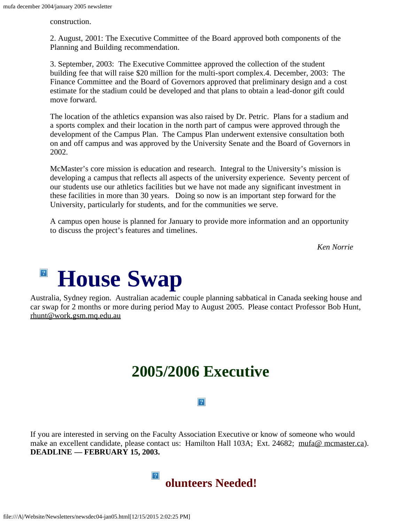construction.

2. August, 2001: The Executive Committee of the Board approved both components of the Planning and Building recommendation.

3. September, 2003: The Executive Committee approved the collection of the student building fee that will raise \$20 million for the multi-sport complex.4. December, 2003: The Finance Committee and the Board of Governors approved that preliminary design and a cost estimate for the stadium could be developed and that plans to obtain a lead-donor gift could move forward.

The location of the athletics expansion was also raised by Dr. Petric. Plans for a stadium and a sports complex and their location in the north part of campus were approved through the development of the Campus Plan. The Campus Plan underwent extensive consultation both on and off campus and was approved by the University Senate and the Board of Governors in 2002.

McMaster's core mission is education and research. Integral to the University's mission is developing a campus that reflects all aspects of the university experience. Seventy percent of our students use our athletics facilities but we have not made any significant investment in these facilities in more than 30 years. Doing so now is an important step forward for the University, particularly for students, and for the communities we serve.

A campus open house is planned for January to provide more information and an opportunity to discuss the project's features and timelines.

*Ken Norrie*

# $\boxed{2}$ **House Swap**

<span id="page-9-0"></span>Australia, Sydney region. Australian academic couple planning sabbatical in Canada seeking house and car swap for 2 months or more during period May to August 2005. Please contact Professor Bob Hunt, [rhunt@work.gsm.mq.edu.au](mailto:rhunt@work.gsm.mq.edu.au)

# **2005/2006 Executive**

 $|2|$ 

<span id="page-9-2"></span><span id="page-9-1"></span>If you are interested in serving on the Faculty Association Executive or know of someone who would make an excellent candidate, please contact us: Hamilton Hall 103A; Ext. 24682; [mufa@ mcmaster.ca\)](mailto:mufa@mcmaster.ca). **DEADLINE — FEBRUARY 15, 2003.**